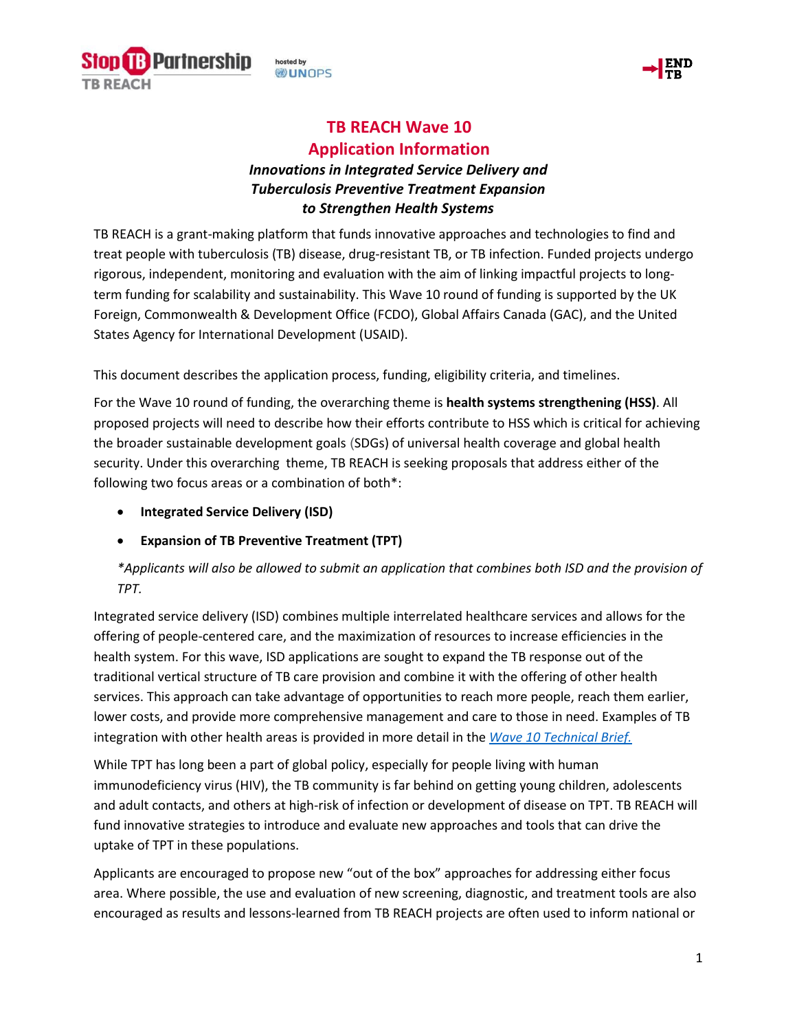



# **TB REACH Wave 10**

**Application Information** 

## *Innovations in Integrated Service Delivery and Tuberculosis Preventive Treatment Expansion to Strengthen Health Systems*

TB REACH is a grant-making platform that funds innovative approaches and technologies to find and treat people with tuberculosis (TB) disease, drug-resistant TB, or TB infection. Funded projects undergo rigorous, independent, monitoring and evaluation with the aim of linking impactful projects to longterm funding for scalability and sustainability. This Wave 10 round of funding is supported by the UK Foreign, Commonwealth & Development Office (FCDO), Global Affairs Canada (GAC), and the United States Agency for International Development (USAID).

This document describes the application process, funding, eligibility criteria, and timelines.

For the Wave 10 round of funding, the overarching theme is **health systems strengthening (HSS)**. All proposed projects will need to describe how their efforts contribute to HSS which is critical for achieving the broader sustainable development goals (SDGs) of universal health coverage and global health security. Under this overarching theme, TB REACH is seeking proposals that address either of the following two focus areas or a combination of both\*:

- **Integrated Service Delivery (ISD)**
- **Expansion of TB Preventive Treatment (TPT)**

### *\*Applicants will also be allowed to submit an application that combines both ISD and the provision of TPT.*

Integrated service delivery (ISD) combines multiple interrelated healthcare services and allows for the offering of people-centered care, and the maximization of resources to increase efficiencies in the health system. For this wave, ISD applications are sought to expand the TB response out of the traditional vertical structure of TB care provision and combine it with the offering of other health services. This approach can take advantage of opportunities to reach more people, reach them earlier, lower costs, and provide more comprehensive management and care to those in need. Examples of TB integration with other health areas is provided in more detail in the *[Wave 10 Technical Brief.](https://www.stoptb.org/accelerate-tb-innovations/tb-reach)* 

While TPT has long been a part of global policy, especially for people living with human immunodeficiency virus (HIV), the TB community is far behind on getting young children, adolescents and adult contacts, and others at high-risk of infection or development of disease on TPT. TB REACH will fund innovative strategies to introduce and evaluate new approaches and tools that can drive the uptake of TPT in these populations.

Applicants are encouraged to propose new "out of the box" approaches for addressing either focus area. Where possible, the use and evaluation of new screening, diagnostic, and treatment tools are also encouraged as results and lessons-learned from TB REACH projects are often used to inform national or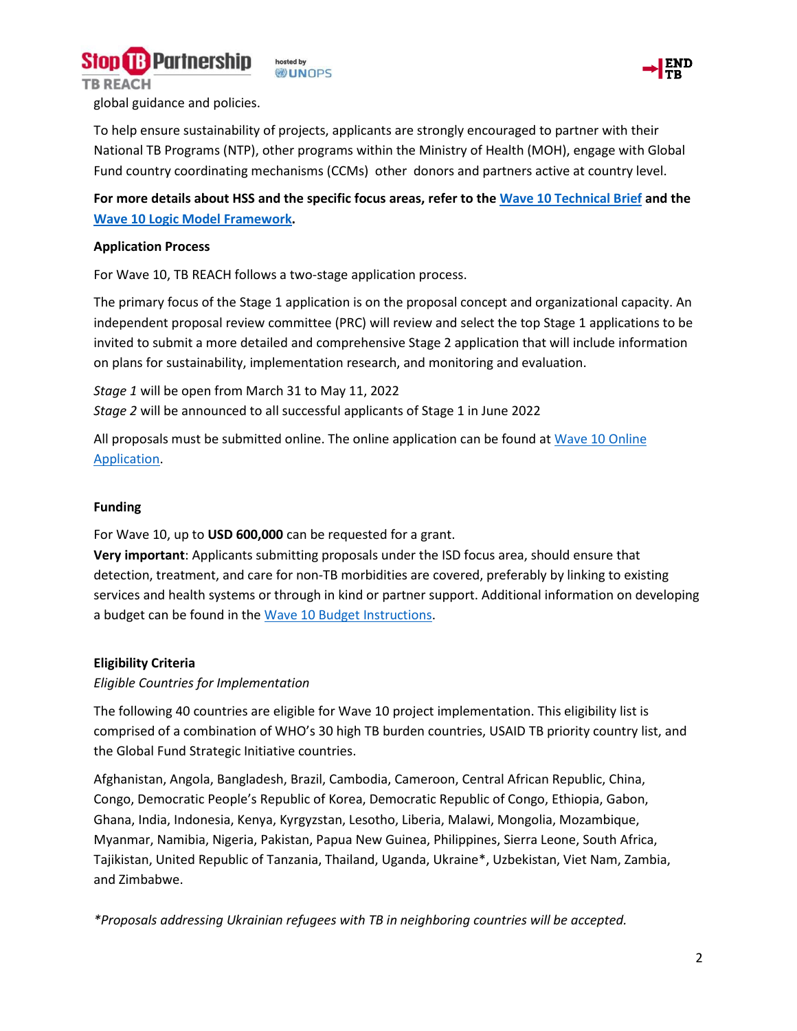



global guidance and policies.

To help ensure sustainability of projects, applicants are strongly encouraged to partner with their National TB Programs (NTP), other programs within the Ministry of Health (MOH), engage with Global Fund country coordinating mechanisms (CCMs) other donors and partners active at country level.

**For more details about HSS and the specific focus areas, refer to the [Wave 10 Technical Brief](https://www.stoptb.org/waves-of-funding/wave-10) and the [Wave 10 Logic Model Framework.](https://www.stoptb.org/waves-of-funding/wave-10)** 

#### **Application Process**

For Wave 10, TB REACH follows a two-stage application process.

The primary focus of the Stage 1 application is on the proposal concept and organizational capacity. An independent proposal review committee (PRC) will review and select the top Stage 1 applications to be invited to submit a more detailed and comprehensive Stage 2 application that will include information on plans for sustainability, implementation research, and monitoring and evaluation.

*Stage 1* will be open from March 31 to May 11, 2022 *Stage 2* will be announced to all successful applicants of Stage 1 in June 2022

All proposals must be submitted online. The online application can be found at [Wave 10 Online](https://stoptb.org/global/awards/tbreach/w10/default_S1.asp)  [Application.](https://stoptb.org/global/awards/tbreach/w10/default_S1.asp)

#### **Funding**

For Wave 10, up to **USD 600,000** can be requested for a grant.

**Very important**: Applicants submitting proposals under the ISD focus area, should ensure that detection, treatment, and care for non-TB morbidities are covered, preferably by linking to existing services and health systems or through in kind or partner support. Additional information on developing a budget can be found in the [Wave 10 Budget Instructions.](https://www.stoptb.org/waves-of-funding/wave-10)

#### **Eligibility Criteria**

#### *Eligible Countries for Implementation*

The following 40 countries are eligible for Wave 10 project implementation. This eligibility list is comprised of a combination of WHO's 30 high TB burden countries, USAID TB priority country list, and the Global Fund Strategic Initiative countries.

Afghanistan, Angola, Bangladesh, Brazil, Cambodia, Cameroon, Central African Republic, China, Congo, Democratic People's Republic of Korea, Democratic Republic of Congo, Ethiopia, Gabon, Ghana, India, Indonesia, Kenya, Kyrgyzstan, Lesotho, Liberia, Malawi, Mongolia, Mozambique, Myanmar, Namibia, Nigeria, Pakistan, Papua New Guinea, Philippines, Sierra Leone, South Africa, Tajikistan, United Republic of Tanzania, Thailand, Uganda, Ukraine\*, Uzbekistan, Viet Nam, Zambia, and Zimbabwe.

*\*Proposals addressing Ukrainian refugees with TB in neighboring countries will be accepted.*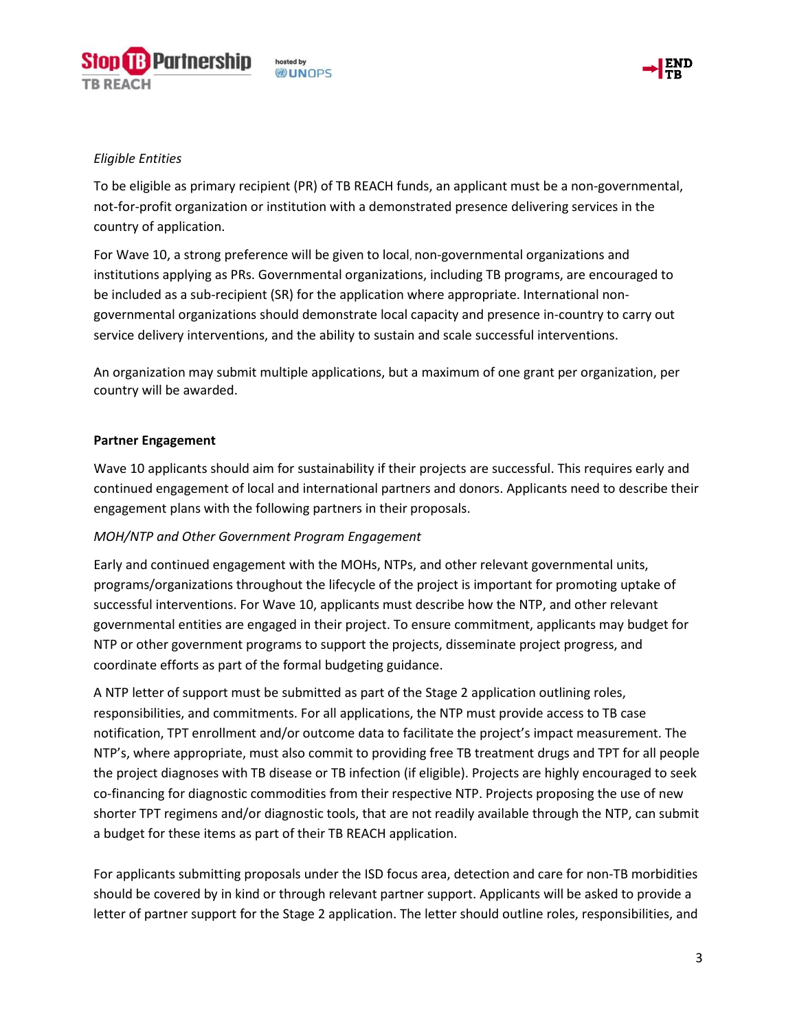





#### *Eligible Entities*

To be eligible as primary recipient (PR) of TB REACH funds, an applicant must be a non-governmental, not-for-profit organization or institution with a demonstrated presence delivering services in the country of application.

For Wave 10, a strong preference will be given to local, non-governmental organizations and institutions applying as PRs. Governmental organizations, including TB programs, are encouraged to be included as a sub-recipient (SR) for the application where appropriate. International nongovernmental organizations should demonstrate local capacity and presence in-country to carry out service delivery interventions, and the ability to sustain and scale successful interventions.

An organization may submit multiple applications, but a maximum of one grant per organization, per country will be awarded.

#### **Partner Engagement**

Wave 10 applicants should aim for sustainability if their projects are successful. This requires early and continued engagement of local and international partners and donors. Applicants need to describe their engagement plans with the following partners in their proposals.

#### *MOH/NTP and Other Government Program Engagement*

Early and continued engagement with the MOHs, NTPs, and other relevant governmental units, programs/organizations throughout the lifecycle of the project is important for promoting uptake of successful interventions. For Wave 10, applicants must describe how the NTP, and other relevant governmental entities are engaged in their project. To ensure commitment, applicants may budget for NTP or other government programs to support the projects, disseminate project progress, and coordinate efforts as part of the formal budgeting guidance.

A NTP letter of support must be submitted as part of the Stage 2 application outlining roles, responsibilities, and commitments. For all applications, the NTP must provide access to TB case notification, TPT enrollment and/or outcome data to facilitate the project's impact measurement. The NTP's, where appropriate, must also commit to providing free TB treatment drugs and TPT for all people the project diagnoses with TB disease or TB infection (if eligible). Projects are highly encouraged to seek co-financing for diagnostic commodities from their respective NTP. Projects proposing the use of new shorter TPT regimens and/or diagnostic tools, that are not readily available through the NTP, can submit a budget for these items as part of their TB REACH application.

For applicants submitting proposals under the ISD focus area, detection and care for non-TB morbidities should be covered by in kind or through relevant partner support. Applicants will be asked to provide a letter of partner support for the Stage 2 application. The letter should outline roles, responsibilities, and